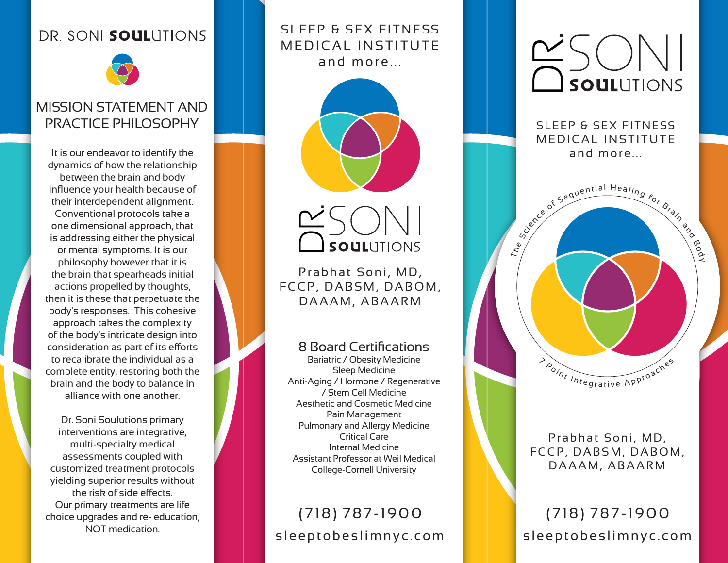#### DR. SONI SOULUTIONS



#### MISSION STATEMENT AND PRACTICE PHILOSOPHY

It is our endeavor to identify the dynamics of how the relationship between the brain and body influence your health because of their interdependent alignment. Conventional protocols take a one dimensional approach, that is addressing either the physical or mental symptoms. It is our philosophy however that it is the brain that spearheads initial actions propelled by thoughts, then it is these that perpetuate the body's responses. This cohesive approach takes the complexity of the body's intricate design into consideration as part of its efforts to recalibrate the individual as a complete entity, restoring both the brain and the body to balance in alliance with one another.

Dr. Soni Soulutions primary interventions are integrative, multi-specialty medical assessments coupled with customized treatment protocols yielding superior results without the risk of side effects. Our primary treatments are life choice upgrades and re- education, NOT medication.

#### SLEEP & SEX FITNESS MEDICAL INSTITUTE and more...





Prabhat Soni, MD, FCCP, DABSM, DABOM, DAAAM, ABAARM

#### 8 Board Certifications

Bariatric / Obesity Medicine Sleep Medicine Anti-Aging / Hormone / Regenerative / Stem Cell Medicine Aesthetic and Cosmetic Medicine Pain Management Pulmonary and Allergy Medicine Critical Care Internal Medicine Assistant Professor at Weil Medical College-Cornell University

### sleeptobeslimnyc.com (718) 787-1900



SLEEP & SEX FITNESS MEDICAL INSTITUTE and more...



Prabhat Soni, MD, FCCP, DABSM, DABOM, DAAAM, ABAARM

sleeptobeslimnyc.com (718) 787-1900